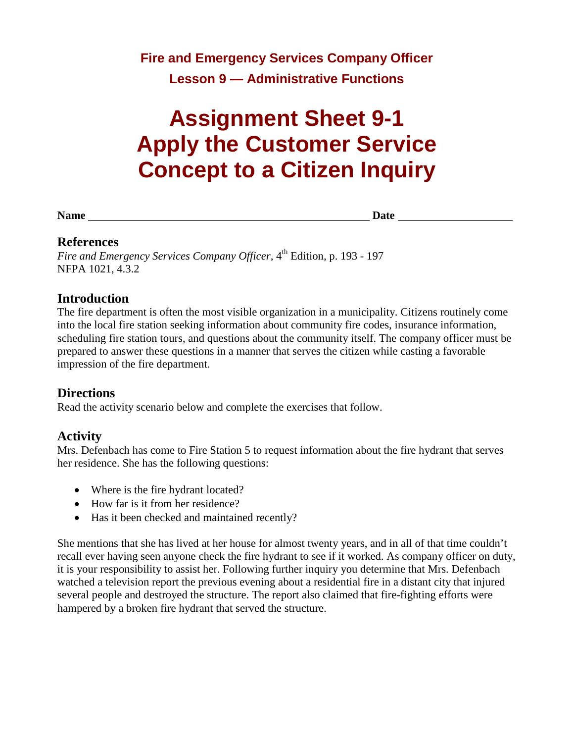## **Fire and Emergency Services Company Officer Lesson 9 — Administrative Functions**

# **Assignment Sheet 9-1 Apply the Customer Service Concept to a Citizen Inquiry**

**Name Date**

#### **References**

*Fire and Emergency Services Company Officer,* 4th Edition*,* p. 193 - 197 NFPA 1021, 4.3.2

#### **Introduction**

The fire department is often the most visible organization in a municipality. Citizens routinely come into the local fire station seeking information about community fire codes, insurance information, scheduling fire station tours, and questions about the community itself. The company officer must be prepared to answer these questions in a manner that serves the citizen while casting a favorable impression of the fire department.

#### **Directions**

Read the activity scenario below and complete the exercises that follow.

### **Activity**

Mrs. Defenbach has come to Fire Station 5 to request information about the fire hydrant that serves her residence. She has the following questions:

- Where is the fire hydrant located?
- How far is it from her residence?
- Has it been checked and maintained recently?

She mentions that she has lived at her house for almost twenty years, and in all of that time couldn't recall ever having seen anyone check the fire hydrant to see if it worked. As company officer on duty, it is your responsibility to assist her. Following further inquiry you determine that Mrs. Defenbach watched a television report the previous evening about a residential fire in a distant city that injured several people and destroyed the structure. The report also claimed that fire-fighting efforts were hampered by a broken fire hydrant that served the structure.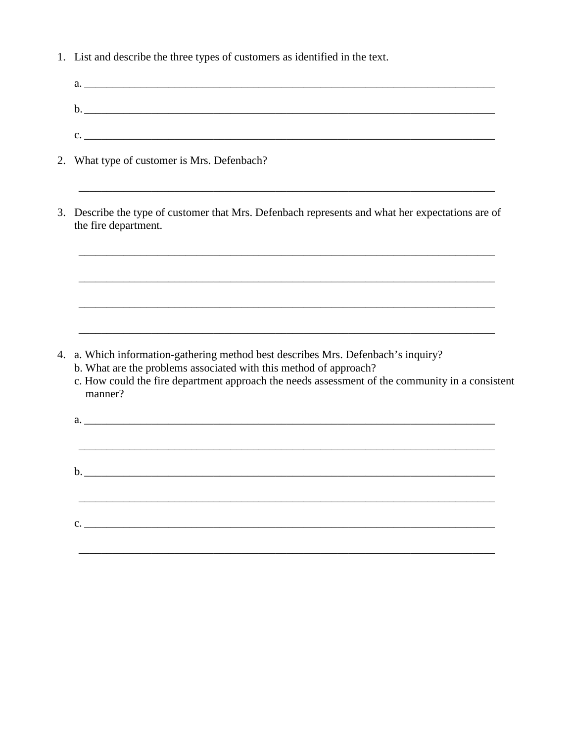1. List and describe the three types of customers as identified in the text.

| a.     |  |
|--------|--|
|        |  |
| b.     |  |
|        |  |
| $\sim$ |  |

- 2. What type of customer is Mrs. Defenbach?
- 3. Describe the type of customer that Mrs. Defenbach represents and what her expectations are of the fire department.

<u> 1989 - Johann Stoff, amerikansk politiker (d. 1989)</u>

- 4. a. Which information-gathering method best describes Mrs. Defenbach's inquiry?
	- b. What are the problems associated with this method of approach?
	- c. How could the fire department approach the needs assessment of the community in a consistent manner?

 $\mathbf{b}$ . c.  $\frac{1}{2}$  . The contract of the contract of the contract of the contract of the contract of the contract of the contract of the contract of the contract of the contract of the contract of the contract of the contract o